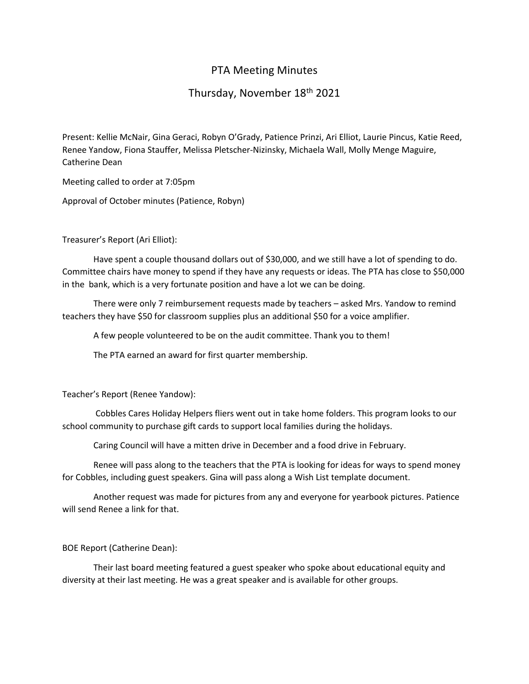# PTA Meeting Minutes

## Thursday, November 18th 2021

Present: Kellie McNair, Gina Geraci, Robyn O'Grady, Patience Prinzi, Ari Elliot, Laurie Pincus, Katie Reed, Renee Yandow, Fiona Stauffer, Melissa Pletscher-Nizinsky, Michaela Wall, Molly Menge Maguire, Catherine Dean

Meeting called to order at 7:05pm

Approval of October minutes (Patience, Robyn)

## Treasurer's Report (Ari Elliot):

Have spent a couple thousand dollars out of \$30,000, and we still have a lot of spending to do. Committee chairs have money to spend if they have any requests or ideas. The PTA has close to \$50,000 in the bank, which is a very fortunate position and have a lot we can be doing.

There were only 7 reimbursement requests made by teachers – asked Mrs. Yandow to remind teachers they have \$50 for classroom supplies plus an additional \$50 for a voice amplifier.

A few people volunteered to be on the audit committee. Thank you to them!

The PTA earned an award for first quarter membership.

#### Teacher's Report (Renee Yandow):

Cobbles Cares Holiday Helpers fliers went out in take home folders. This program looks to our school community to purchase gift cards to support local families during the holidays.

Caring Council will have a mitten drive in December and a food drive in February.

Renee will pass along to the teachers that the PTA is looking for ideas for ways to spend money for Cobbles, including guest speakers. Gina will pass along a Wish List template document.

Another request was made for pictures from any and everyone for yearbook pictures. Patience will send Renee a link for that.

## BOE Report (Catherine Dean):

Their last board meeting featured a guest speaker who spoke about educational equity and diversity at their last meeting. He was a great speaker and is available for other groups.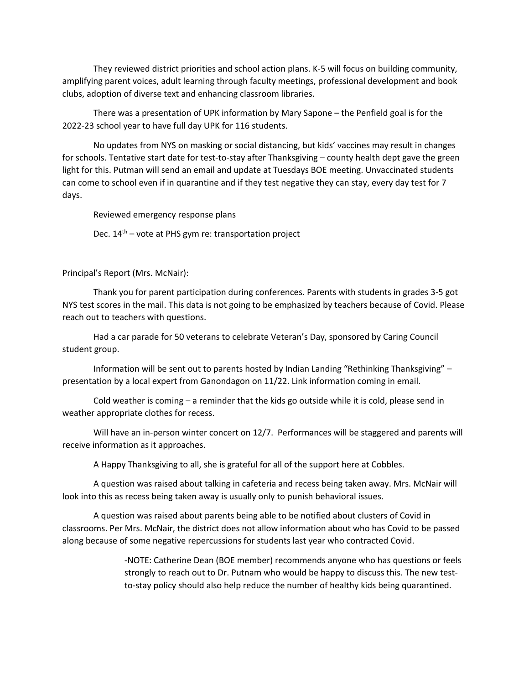They reviewed district priorities and school action plans. K-5 will focus on building community, amplifying parent voices, adult learning through faculty meetings, professional development and book clubs, adoption of diverse text and enhancing classroom libraries.

There was a presentation of UPK information by Mary Sapone – the Penfield goal is for the 2022-23 school year to have full day UPK for 116 students.

No updates from NYS on masking or social distancing, but kids' vaccines may result in changes for schools. Tentative start date for test-to-stay after Thanksgiving – county health dept gave the green light for this. Putman will send an email and update at Tuesdays BOE meeting. Unvaccinated students can come to school even if in quarantine and if they test negative they can stay, every day test for 7 days.

Reviewed emergency response plans

Dec.  $14<sup>th</sup>$  – vote at PHS gym re: transportation project

Principal's Report (Mrs. McNair):

Thank you for parent participation during conferences. Parents with students in grades 3-5 got NYS test scores in the mail. This data is not going to be emphasized by teachers because of Covid. Please reach out to teachers with questions.

Had a car parade for 50 veterans to celebrate Veteran's Day, sponsored by Caring Council student group.

Information will be sent out to parents hosted by Indian Landing "Rethinking Thanksgiving" – presentation by a local expert from Ganondagon on 11/22. Link information coming in email.

Cold weather is coming – a reminder that the kids go outside while it is cold, please send in weather appropriate clothes for recess.

Will have an in-person winter concert on 12/7. Performances will be staggered and parents will receive information as it approaches.

A Happy Thanksgiving to all, she is grateful for all of the support here at Cobbles.

A question was raised about talking in cafeteria and recess being taken away. Mrs. McNair will look into this as recess being taken away is usually only to punish behavioral issues.

A question was raised about parents being able to be notified about clusters of Covid in classrooms. Per Mrs. McNair, the district does not allow information about who has Covid to be passed along because of some negative repercussions for students last year who contracted Covid.

> -NOTE: Catherine Dean (BOE member) recommends anyone who has questions or feels strongly to reach out to Dr. Putnam who would be happy to discuss this. The new testto-stay policy should also help reduce the number of healthy kids being quarantined.